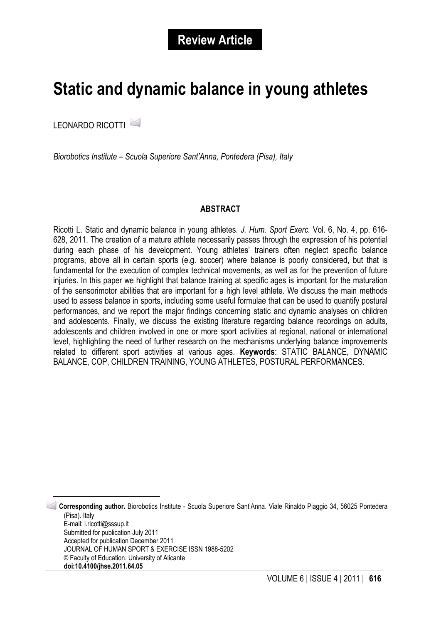# **Static and dynamic balance in young athletes**

LEONARDO RICOTTI [1](#page-0-0)

*Biorobotics Institute – Scuola Superiore Sant'Anna, Pontedera (Pisa), Italy*

#### **ABSTRACT**

Ricotti L. Static and dynamic balance in young athletes. *J. Hum. Sport Exerc.* Vol. 6, No. 4, pp. 616- 628, 2011. The creation of a mature athlete necessarily passes through the expression of his potential during each phase of his development. Young athletes' trainers often neglect specific balance programs, above all in certain sports (e.g. soccer) where balance is poorly considered, but that is fundamental for the execution of complex technical movements, as well as for the prevention of future injuries. In this paper we highlight that balance training at specific ages is important for the maturation of the sensorimotor abilities that are important for a high level athlete. We discuss the main methods used to assess balance in sports, including some useful formulae that can be used to quantify postural performances, and we report the major findings concerning static and dynamic analyses on children and adolescents. Finally, we discuss the existing literature regarding balance recordings on adults, adolescents and children involved in one or more sport activities at regional, national or international level, highlighting the need of further research on the mechanisms underlying balance improvements related to different sport activities at various ages. **Keywords**: STATIC BALANCE, DYNAMIC BALANCE, COP, CHILDREN TRAINING, YOUNG ATHLETES, POSTURAL PERFORMANCES.

<span id="page-0-0"></span> 1 **Corresponding author.** Biorobotics Institute - Scuola Superiore Sant'Anna. Viale Rinaldo Piaggio 34, 56025 Pontedera (Pisa). Italy E-mail: l.ricotti@sssup.it Submitted for publication July 2011 Accepted for publication December 2011 JOURNAL OF HUMAN SPORT & EXERCISE ISSN 1988-5202 © Faculty of Education. University of Alicante **doi:10.4100/jhse.2011.64.05**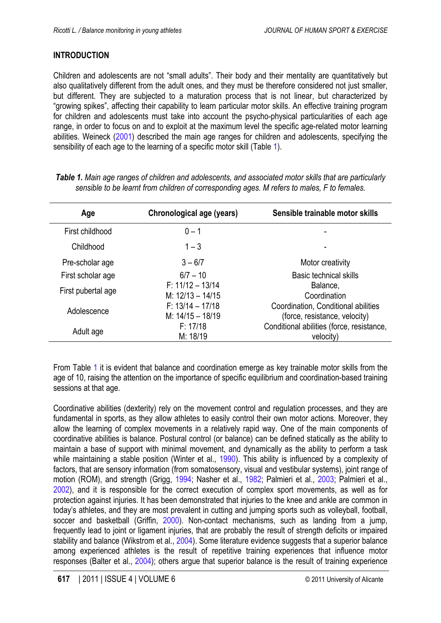# <span id="page-1-0"></span>**INTRODUCTION**

Children and adolescents are not "small adults". Their body and their mentality are quantitatively but also qualitatively different from the adult ones, and they must be therefore considered not just smaller, but different. They are subjected to a maturation process that is not linear, but characterized by "growing spikes", affecting their capability to learn particular motor skills. An effective training program for children and adolescents must take into account the psycho-physical particularities of each age range, in order to focus on and to exploit at the maximum level the specific age-related motor learning abilities. Weineck [\(2001](#page-11-0)) described the main age ranges for children and adolescents, specifying the sensibility of each age to the learning of a specific motor skill (Table 1).

| Age                | Chronological age (years)                | Sensible trainable motor skills                                                                  |  |
|--------------------|------------------------------------------|--------------------------------------------------------------------------------------------------|--|
| First childhood    | $0 - 1$                                  |                                                                                                  |  |
| Childhood          | $1 - 3$                                  |                                                                                                  |  |
| Pre-scholar age    | $3 - 6/7$                                | Motor creativity                                                                                 |  |
| First scholar age  | $6/7 - 10$                               | <b>Basic technical skills</b>                                                                    |  |
| First pubertal age | $F: 11/12 - 13/14$<br>$M: 12/13 - 14/15$ | Balance,<br>Coordination<br>Coordination, Conditional abilities<br>(force, resistance, velocity) |  |
| Adolescence        | $F: 13/14 - 17/18$<br>$M: 14/15 - 18/19$ |                                                                                                  |  |
| Adult age          | F: 17/18<br>M: 18/19                     | Conditional abilities (force, resistance,<br>velocity)                                           |  |

*Table 1. Main age ranges of children and adolescents, and associated motor skills that are particularly sensible to be learnt from children of corresponding ages. M refers to males, F to females.*

From Table 1 it is evident that balance and coordination emerge as key trainable motor skills from the age of 10, raising the attention on the importance of specific equilibrium and coordination-based training sessions at that age.

Coordinative abilities (dexterity) rely on the movement control and regulation processes, and they are fundamental in sports, as they allow athletes to easily control their own motor actions. Moreover, they allow the learning of complex movements in a relatively rapid way. One of the main components of coordinative abilities is balance. Postural control (or balance) can be defined statically as the ability to maintain a base of support with minimal movement, and dynamically as the ability to perform a task while maintaining a stable position (Winter et al., [1990](#page-12-0)). This ability is influenced by a complexity of factors, that are sensory information (from somatosensory, visual and vestibular systems), joint range of motion (ROM), and strength (Grigg, [1994;](#page-9-0) Nasher et al., [1982;](#page-11-0) Palmieri et al., [2003](#page-11-0); Palmieri et al., [2002\)](#page-11-0), and it is responsible for the correct execution of complex sport movements, as well as for protection against injuries. It has been demonstrated that injuries to the knee and ankle are common in today's athletes, and they are most prevalent in cutting and jumping sports such as volleyball, football, soccer and basketball (Griffin, [2000\)](#page-9-0). Non-contact mechanisms, such as landing from a jump, frequently lead to joint or ligament injuries, that are probably the result of strength deficits or impaired stability and balance (Wikstrom et al., [2004](#page-12-0)). Some literature evidence suggests that a superior balance among experienced athletes is the result of repetitive training experiences that influence motor responses (Balter et al., [2004](#page-8-0)); others argue that superior balance is the result of training experience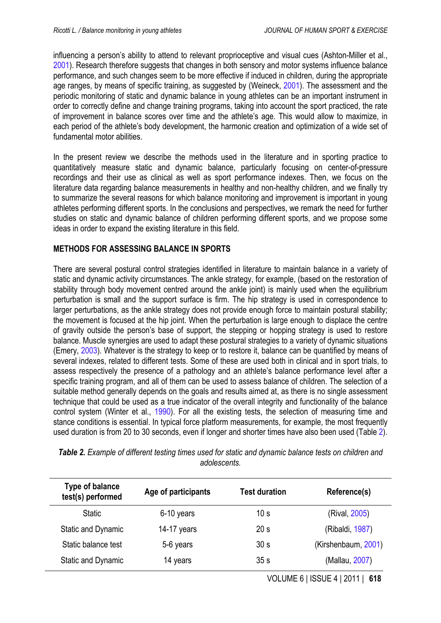<span id="page-2-0"></span>influencing a person's ability to attend to relevant proprioceptive and visual cues (Ashton-Miller et al., [2001\)](#page-8-0). Research therefore suggests that changes in both sensory and motor systems influence balance performance, and such changes seem to be more effective if induced in children, during the appropriate age ranges, by means of specific training, as suggested by (Weineck, [2001\)](#page-11-0). The assessment and the periodic monitoring of static and dynamic balance in young athletes can be an important instrument in order to correctly define and change training programs, taking into account the sport practiced, the rate of improvement in balance scores over time and the athlete's age. This would allow to maximize, in each period of the athlete's body development, the harmonic creation and optimization of a wide set of fundamental motor abilities.

In the present review we describe the methods used in the literature and in sporting practice to quantitatively measure static and dynamic balance, particularly focusing on center-of-pressure recordings and their use as clinical as well as sport performance indexes. Then, we focus on the literature data regarding balance measurements in healthy and non-healthy children, and we finally try to summarize the several reasons for which balance monitoring and improvement is important in young athletes performing different sports. In the conclusions and perspectives, we remark the need for further studies on static and dynamic balance of children performing different sports, and we propose some ideas in order to expand the existing literature in this field.

## **METHODS FOR ASSESSING BALANCE IN SPORTS**

There are several postural control strategies identified in literature to maintain balance in a variety of static and dynamic activity circumstances. The ankle strategy, for example, (based on the restoration of stability through body movement centred around the ankle joint) is mainly used when the equilibrium perturbation is small and the support surface is firm. The hip strategy is used in correspondence to larger perturbations, as the ankle strategy does not provide enough force to maintain postural stability; the movement is focused at the hip joint. When the perturbation is large enough to displace the centre of gravity outside the person's base of support, the stepping or hopping strategy is used to restore balance. Muscle synergies are used to adapt these postural strategies to a variety of dynamic situations (Emery, [2003](#page-9-0)). Whatever is the strategy to keep or to restore it, balance can be quantified by means of several indexes, related to different tests. Some of these are used both in clinical and in sport trials, to assess respectively the presence of a pathology and an athlete's balance performance level after a specific training program, and all of them can be used to assess balance of children. The selection of a suitable method generally depends on the goals and results aimed at, as there is no single assessment technique that could be used as a true indicator of the overall integrity and functionality of the balance control system (Winter et al., [1990](#page-12-0)). For all the existing tests, the selection of measuring time and stance conditions is essential. In typical force platform measurements, for example, the most frequently used duration is from 20 to 30 seconds, even if longer and shorter times have also been used (Table 2).

| <b>Type of balance</b><br>test(s) performed | Age of participants | <b>Test duration</b> | Reference(s)        |
|---------------------------------------------|---------------------|----------------------|---------------------|
| <b>Static</b>                               | 6-10 years          | 10 <sub>s</sub>      | (Rival, 2005)       |
| <b>Static and Dynamic</b>                   | 14-17 years         | 20 <sub>s</sub>      | (Ribaldi, 1987)     |
| Static balance test                         | 5-6 years           | 30 <sub>s</sub>      | (Kirshenbaum, 2001) |
| Static and Dynamic                          | 14 years            | 35 <sub>s</sub>      | (Mallau, 2007)      |

*Table 2. Example of different testing times used for static and dynamic balance tests on children and adolescents.*

VOLUME 6 | ISSUE 4 | 2011 | **618**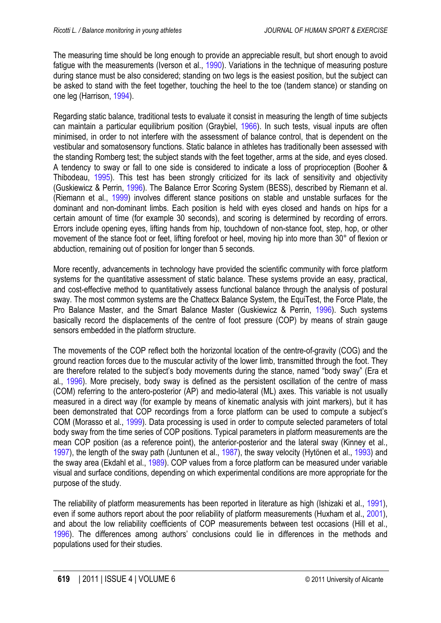<span id="page-3-0"></span>The measuring time should be long enough to provide an appreciable result, but short enough to avoid fatigue with the measurements (Iverson et al., [1990\)](#page-10-0). Variations in the technique of measuring posture during stance must be also considered; standing on two legs is the easiest position, but the subject can be asked to stand with the feet together, touching the heel to the toe (tandem stance) or standing on one leg (Harrison, [1994\)](#page-9-0).

Regarding static balance, traditional tests to evaluate it consist in measuring the length of time subjects can maintain a particular equilibrium position (Graybiel, [1966](#page-9-0)). In such tests, visual inputs are often minimised, in order to not interfere with the assessment of balance control, that is dependent on the vestibular and somatosensory functions. Static balance in athletes has traditionally been assessed with the standing Romberg test; the subject stands with the feet together, arms at the side, and eyes closed. A tendency to sway or fall to one side is considered to indicate a loss of proprioception (Booher & Thibodeau, [1995\)](#page-8-0). This test has been strongly criticized for its lack of sensitivity and objectivity (Guskiewicz & Perrin, [1996\)](#page-10-0). The Balance Error Scoring System (BESS), described by Riemann et al. (Riemann et al., [1999\)](#page-11-0) involves different stance positions on stable and unstable surfaces for the dominant and non-dominant limbs. Each position is held with eyes closed and hands on hips for a certain amount of time (for example 30 seconds), and scoring is determined by recording of errors. Errors include opening eyes, lifting hands from hip, touchdown of non-stance foot, step, hop, or other movement of the stance foot or feet, lifting forefoot or heel, moving hip into more than 30° of flexion or abduction, remaining out of position for longer than 5 seconds.

More recently, advancements in technology have provided the scientific community with force platform systems for the quantitative assessment of static balance. These systems provide an easy, practical, and cost-effective method to quantitatively assess functional balance through the analysis of postural sway. The most common systems are the Chattecx Balance System, the EquiTest, the Force Plate, the Pro Balance Master, and the Smart Balance Master (Guskiewicz & Perrin, [1996\)](#page-9-0). Such systems basically record the displacements of the centre of foot pressure (COP) by means of strain gauge sensors embedded in the platform structure.

The movements of the COP reflect both the horizontal location of the centre-of-gravity (COG) and the ground reaction forces due to the muscular activity of the lower limb, transmitted through the foot. They are therefore related to the subject's body movements during the stance, named "body sway" (Era et al., [1996](#page-9-0)). More precisely, body sway is defined as the persistent oscillation of the centre of mass (COM) referring to the antero-posterior (AP) and medio-lateral (ML) axes. This variable is not usually measured in a direct way (for example by means of kinematic analysis with joint markers), but it has been demonstrated that COP recordings from a force platform can be used to compute a subject's COM (Morasso et al., [1999\)](#page-11-0). Data processing is used in order to compute selected parameters of total body sway from the time series of COP positions. Typical parameters in platform measurements are the mean COP position (as a reference point), the anterior-posterior and the lateral sway (Kinney et al., [1997\)](#page-10-0), the length of the sway path (Juntunen et al., [1987](#page-10-0)), the sway velocity (Hytönen et al., [1993\)](#page-10-0) and the sway area (Ekdahl et al., [1989](#page-9-0)). COP values from a force platform can be measured under variable visual and surface conditions, depending on which experimental conditions are more appropriate for the purpose of the study.

The reliability of platform measurements has been reported in literature as high (Ishizaki et al., [1991](#page-10-0)), even if some authors report about the poor reliability of platform measurements (Huxham et al., [2001](#page-10-0)), and about the low reliability coefficients of COP measurements between test occasions (Hill et al., [1996\)](#page-10-0). The differences among authors' conclusions could lie in differences in the methods and populations used for their studies.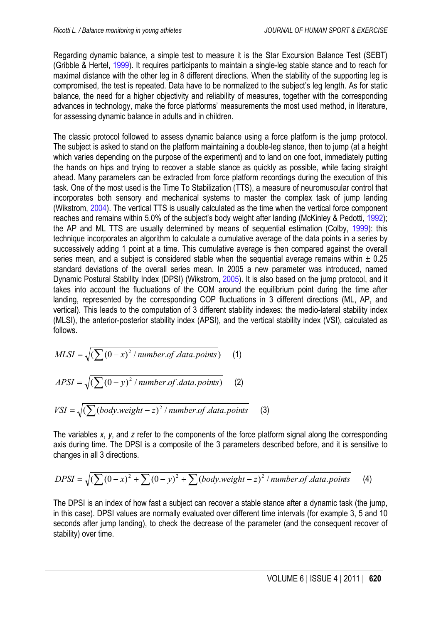<span id="page-4-0"></span>Regarding dynamic balance, a simple test to measure it is the Star Excursion Balance Test (SEBT) (Gribble & Hertel, [1999](#page-9-0)). It requires participants to maintain a single-leg stable stance and to reach for maximal distance with the other leg in 8 different directions. When the stability of the supporting leg is compromised, the test is repeated. Data have to be normalized to the subject's leg length. As for static balance, the need for a higher objectivity and reliability of measures, together with the corresponding advances in technology, make the force platforms' measurements the most used method, in literature, for assessing dynamic balance in adults and in children.

The classic protocol followed to assess dynamic balance using a force platform is the jump protocol. The subject is asked to stand on the platform maintaining a double-leg stance, then to jump (at a height which varies depending on the purpose of the experiment) and to land on one foot, immediately putting the hands on hips and trying to recover a stable stance as quickly as possible, while facing straight ahead. Many parameters can be extracted from force platform recordings during the execution of this task. One of the most used is the Time To Stabilization (TTS), a measure of neuromuscular control that incorporates both sensory and mechanical systems to master the complex task of jump landing (Wikstrom, [2004\)](#page-12-0). The vertical TTS is usually calculated as the time when the vertical force component reaches and remains within 5.0% of the subject's body weight after landing (McKinley & Pedotti, [1992](#page-10-0)); the AP and ML TTS are usually determined by means of sequential estimation (Colby, [1999](#page-8-0)): this technique incorporates an algorithm to calculate a cumulative average of the data points in a series by successively adding 1 point at a time. This cumulative average is then compared against the overall series mean, and a subject is considered stable when the sequential average remains within  $\pm$  0.25 standard deviations of the overall series mean. In 2005 a new parameter was introduced, named Dynamic Postural Stability Index (DPSI) (Wikstrom, [2005\)](#page-12-0). It is also based on the jump protocol, and it takes into account the fluctuations of the COM around the equilibrium point during the time after landing, represented by the corresponding COP fluctuations in 3 different directions (ML, AP, and vertical). This leads to the computation of 3 different stability indexes: the medio-lateral stability index (MLSI), the anterior-posterior stability index (APSI), and the vertical stability index (VSI), calculated as follows.

$$
MLSI = \sqrt{\left(\sum (0 - x)^2 / number of data points\right)} \tag{1}
$$

$$
APSI = \sqrt{\left(\sum (0 - y)^2 / number of.data points\right)} \tag{2}
$$

$$
VSI = \sqrt{\left(\sum (body.weight - z)^2 / number.of.data.points}\right)}
$$
 (3)

The variables *x*, *y*, and *z* refer to the components of the force platform signal along the corresponding axis during time. The DPSI is a composite of the 3 parameters described before, and it is sensitive to changes in all 3 directions.

$$
DPSI = \sqrt{\left(\sum (0-x)^2 + \sum (0-y)^2 + \sum (body.weight - z)^2 / number of data points}\right)}
$$
 (4)

The DPSI is an index of how fast a subject can recover a stable stance after a dynamic task (the jump, in this case). DPSI values are normally evaluated over different time intervals (for example 3, 5 and 10 seconds after jump landing), to check the decrease of the parameter (and the consequent recover of stability) over time.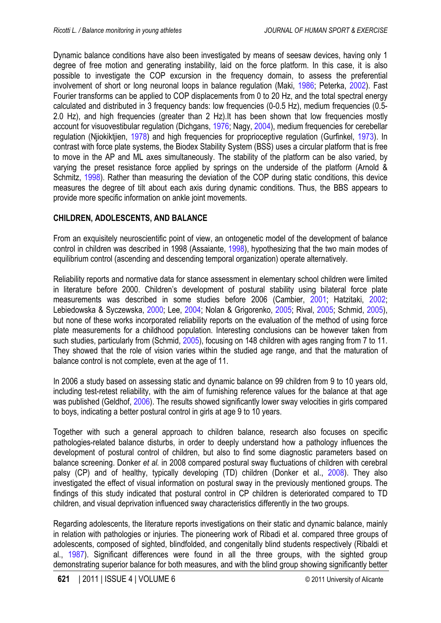<span id="page-5-0"></span>Dynamic balance conditions have also been investigated by means of seesaw devices, having only 1 degree of free motion and generating instability, laid on the force platform. In this case, it is also possible to investigate the COP excursion in the frequency domain, to assess the preferential involvement of short or long neuronal loops in balance regulation (Maki, [1986](#page-10-0); Peterka, [2002\)](#page-11-0). Fast Fourier transforms can be applied to COP displacements from 0 to 20 Hz, and the total spectral energy calculated and distributed in 3 frequency bands: low frequencies (0-0.5 Hz), medium frequencies (0.5- 2.0 Hz), and high frequencies (greater than 2 Hz).It has been shown that low frequencies mostly account for visuovestibular regulation (Dichgans, [1976](#page-8-0); Nagy, [2004](#page-11-0)), medium frequencies for cerebellar regulation (Njiokiktjien, [1978](#page-11-0)) and high frequencies for proprioceptive regulation (Gurfinkel, [1973\)](#page-9-0). In contrast with force plate systems, the Biodex Stability System (BSS) uses a circular platform that is free to move in the AP and ML axes simultaneously. The stability of the platform can be also varied, by varying the preset resistance force applied by springs on the underside of the platform (Arnold & Schmitz, [1998](#page-8-0)). Rather than measuring the deviation of the COP during static conditions, this device measures the degree of tilt about each axis during dynamic conditions. Thus, the BBS appears to provide more specific information on ankle joint movements.

## **CHILDREN, ADOLESCENTS, AND BALANCE**

From an exquisitely neuroscientific point of view, an ontogenetic model of the development of balance control in children was described in 1998 (Assaiante, [1998](#page-8-0)), hypothesizing that the two main modes of equilibrium control (ascending and descending temporal organization) operate alternatively.

Reliability reports and normative data for stance assessment in elementary school children were limited in literature before 2000. Children's development of postural stability using bilateral force plate measurements was described in some studies before 2006 (Cambier, [2001;](#page-8-0) Hatzitaki, [2002;](#page-10-0) Lebiedowska & Syczewska, [2000](#page-10-0); Lee, [2004](#page-10-0); Nolan & Grigorenko, [2005;](#page-11-0) Rival, [2005](#page-11-0); Schmid, [2005](#page-11-0)), but none of these works incorporated reliability reports on the evaluation of the method of using force plate measurements for a childhood population. Interesting conclusions can be however taken from such studies, particularly from (Schmid, [2005\)](#page-11-0), focusing on 148 children with ages ranging from 7 to 11. They showed that the role of vision varies within the studied age range, and that the maturation of balance control is not complete, even at the age of 11.

In 2006 a study based on assessing static and dynamic balance on 99 children from 9 to 10 years old, including test-retest reliability, with the aim of furnishing reference values for the balance at that age was published (Geldhof, [2006](#page-9-0)). The results showed significantly lower sway velocities in girls compared to boys, indicating a better postural control in girls at age 9 to 10 years.

Together with such a general approach to children balance, research also focuses on specific pathologies-related balance disturbs, in order to deeply understand how a pathology influences the development of postural control of children, but also to find some diagnostic parameters based on balance screening. Donker *et al.* in 2008 compared postural sway fluctuations of children with cerebral palsy (CP) and of healthy, typically developing (TD) children (Donker et al., [2008\)](#page-9-0). They also investigated the effect of visual information on postural sway in the previously mentioned groups. The findings of this study indicated that postural control in CP children is deteriorated compared to TD children, and visual deprivation influenced sway characteristics differently in the two groups.

Regarding adolescents, the literature reports investigations on their static and dynamic balance, mainly in relation with pathologies or injuries. The pioneering work of Ribadi et al. compared three groups of adolescents, composed of sighted, blindfolded, and congenitally blind students respectively (Ribaldi et al., [1987\)](#page-11-0). Significant differences were found in all the three groups, with the sighted group demonstrating superior balance for both measures, and with the blind group showing significantly better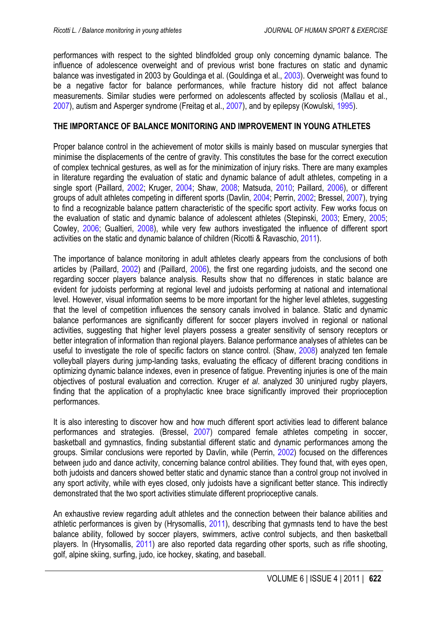<span id="page-6-0"></span>performances with respect to the sighted blindfolded group only concerning dynamic balance. The influence of adolescence overweight and of previous wrist bone fractures on static and dynamic balance was investigated in 2003 by Gouldinga et al. (Gouldinga et al., [2003\)](#page-9-0). Overweight was found to be a negative factor for balance performances, while fracture history did not affect balance measurements. Similar studies were performed on adolescents affected by scoliosis (Mallau et al., [2007\)](#page-10-0), autism and Asperger syndrome (Freitag et al., [2007](#page-9-0)), and by epilepsy (Kowulski, [1995\)](#page-10-0).

## **THE IMPORTANCE OF BALANCE MONITORING AND IMPROVEMENT IN YOUNG ATHLETES**

Proper balance control in the achievement of motor skills is mainly based on muscular synergies that minimise the displacements of the centre of gravity. This constitutes the base for the correct execution of complex technical gestures, as well as for the minimization of injury risks. There are many examples in literature regarding the evaluation of static and dynamic balance of adult athletes, competing in a single sport (Paillard, [2002;](#page-11-0) Kruger, [2004;](#page-10-0) Shaw, [2008;](#page-11-0) Matsuda, [2010;](#page-10-0) Paillard, [2006\)](#page-11-0), or different groups of adult athletes competing in different sports (Davlin, [2004](#page-8-0); Perrin, [2002;](#page-11-0) Bressel, [2007](#page-8-0)), trying to find a recognizable balance pattern characteristic of the specific sport activity. Few works focus on the evaluation of static and dynamic balance of adolescent athletes (Stepinski, [2003;](#page-11-0) Emery, [2005;](#page-9-0) Cowley, [2006;](#page-8-0) Gualtieri, [2008\)](#page-9-0), while very few authors investigated the influence of different sport activities on the static and dynamic balance of children (Ricotti & Ravaschio, [2011](#page-11-0)).

The importance of balance monitoring in adult athletes clearly appears from the conclusions of both articles by (Paillard, [2002](#page-11-0)) and (Paillard, [2006](#page-11-0)), the first one regarding judoists, and the second one regarding soccer players balance analysis. Results show that no differences in static balance are evident for judoists performing at regional level and judoists performing at national and international level. However, visual information seems to be more important for the higher level athletes, suggesting that the level of competition influences the sensory canals involved in balance. Static and dynamic balance performances are significantly different for soccer players involved in regional or national activities, suggesting that higher level players possess a greater sensitivity of sensory receptors or better integration of information than regional players. Balance performance analyses of athletes can be useful to investigate the role of specific factors on stance control. (Shaw, [2008\)](#page-11-0) analyzed ten female volleyball players during jump-landing tasks, evaluating the efficacy of different bracing conditions in optimizing dynamic balance indexes, even in presence of fatigue. Preventing injuries is one of the main objectives of postural evaluation and correction. Kruger *et al*. analyzed 30 uninjured rugby players, finding that the application of a prophylactic knee brace significantly improved their proprioception performances.

It is also interesting to discover how and how much different sport activities lead to different balance performances and strategies. (Bressel, [2007\)](#page-8-0) compared female athletes competing in soccer, basketball and gymnastics, finding substantial different static and dynamic performances among the groups. Similar conclusions were reported by Davlin, while (Perrin, [2002\)](#page-11-0) focused on the differences between judo and dance activity, concerning balance control abilities. They found that, with eyes open, both judoists and dancers showed better static and dynamic stance than a control group not involved in any sport activity, while with eyes closed, only judoists have a significant better stance. This indirectly demonstrated that the two sport activities stimulate different proprioceptive canals.

An exhaustive review regarding adult athletes and the connection between their balance abilities and athletic performances is given by (Hrysomallis, [2011](#page-10-0)), describing that gymnasts tend to have the best balance ability, followed by soccer players, swimmers, active control subjects, and then basketball players. In (Hrysomallis, [2011\)](#page-10-0) are also reported data regarding other sports, such as rifle shooting, golf, alpine skiing, surfing, judo, ice hockey, skating, and baseball.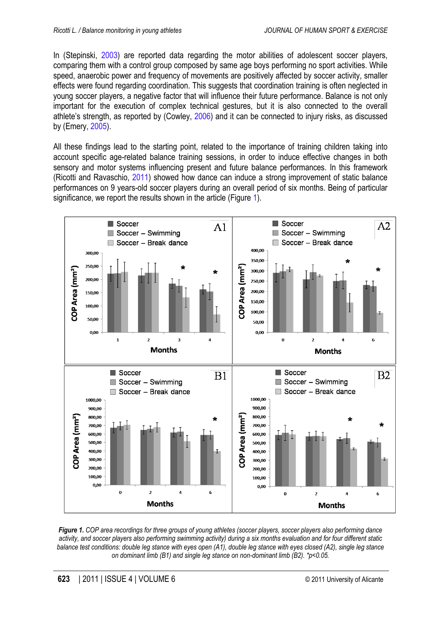<span id="page-7-0"></span>In (Stepinski, [2003\)](#page-11-0) are reported data regarding the motor abilities of adolescent soccer players, comparing them with a control group composed by same age boys performing no sport activities. While speed, anaerobic power and frequency of movements are positively affected by soccer activity, smaller effects were found regarding coordination. This suggests that coordination training is often neglected in young soccer players, a negative factor that will influence their future performance. Balance is not only important for the execution of complex technical gestures, but it is also connected to the overall athlete's strength, as reported by (Cowley, [2006](#page-8-0)) and it can be connected to injury risks, as discussed by (Emery, [2005](#page-9-0)).

All these findings lead to the starting point, related to the importance of training children taking into account specific age-related balance training sessions, in order to induce effective changes in both sensory and motor systems influencing present and future balance performances. In this framework (Ricotti and Ravaschio, [2011\)](#page-11-0) showed how dance can induce a strong improvement of static balance performances on 9 years-old soccer players during an overall period of six months. Being of particular significance, we report the results shown in the article (Figure 1).



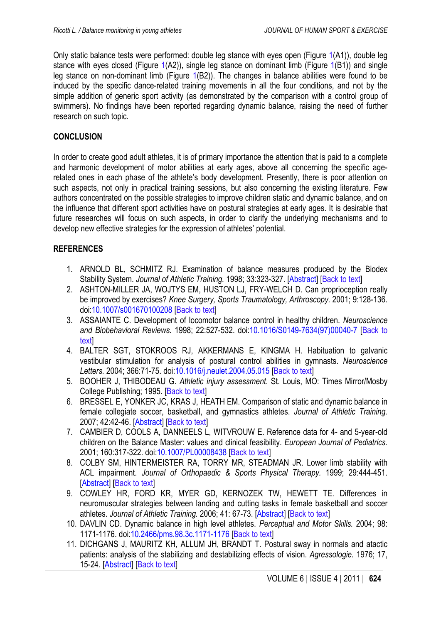<span id="page-8-0"></span>Only static balance tests were performed: double leg stance with eyes open (Figure [1\(](#page-7-0)A1)), double leg stance with eyes closed (Figure [1](#page-7-0)(A2)), single leg stance on dominant limb (Figure [1\(](#page-7-0)B1)) and single leg stance on non-dominant limb (Figure [1\(](#page-7-0)B2)). The changes in balance abilities were found to be induced by the specific dance-related training movements in all the four conditions, and not by the simple addition of generic sport activity (as demonstrated by the comparison with a control group of swimmers). No findings have been reported regarding dynamic balance, raising the need of further research on such topic.

### **CONCLUSION**

In order to create good adult athletes, it is of primary importance the attention that is paid to a complete and harmonic development of motor abilities at early ages, above all concerning the specific agerelated ones in each phase of the athlete's body development. Presently, there is poor attention on such aspects, not only in practical training sessions, but also concerning the existing literature. Few authors concentrated on the possible strategies to improve children static and dynamic balance, and on the influence that different sport activities have on postural strategies at early ages. It is desirable that future researches will focus on such aspects, in order to clarify the underlying mechanisms and to develop new effective strategies for the expression of athletes' potential.

### **REFERENCES**

- 1. ARNOLD BL, SCHMITZ RJ. Examination of balance measures produced by the Biodex Stability System. *Journal of Athletic Training.* 1998; 33:323-327. [\[Abstract\]](http://www.ncbi.nlm.nih.gov/pmc/articles/PMC1320582/) [\[Back to text\]](#page-5-0)
- 2. ASHTON-MILLER JA, WOJTYS EM, HUSTON LJ, FRY-WELCH D. Can proprioception really be improved by exercises? *Knee Surgery, Sports Traumatology, Arthroscopy.* 2001; 9:128-136. doi[:10.1007/s001670100208](http://dx.doi.org/10.1007/s001670100208) [\[Back to text\]](#page-2-0)
- 3. ASSAIANTE C. Development of locomotor balance control in healthy children. *Neuroscience and Biobehavioral Reviews.* 1998; 22:527-532. [doi:10.1016/S0149-7634\(97\)00040-7](#page-5-0) [Back to text]
- 4. BALTER SGT, STOKROOS RJ, AKKERMANS E, KINGMA H. Habituation to galvanic vestibular stimulation for analysis of postural control abilities in gymnasts. *Neuroscience Letters.* 2004; 366:71-75. doi[:10.1016/j.neulet.2004.05.015](http://dx.doi.org/10.1016/j.neulet.2004.05.015) [[Back to text](#page-1-0)]
- 5. BOOHER J, THIBODEAU G. *Athletic injury assessment*. St. Louis, MO: Times Mirror/Mosby College Publishing; 1995. [\[Back to text\]](#page-3-0)
- 6. BRESSEL E, YONKER JC, KRAS J, HEATH EM. Comparison of static and dynamic balance in female collegiate soccer, basketball, and gymnastics athletes. *Journal of Athletic Training.* 2007; 42:42-46. [\[Abstract\]](http://www.ncbi.nlm.nih.gov/pmc/articles/PMC1896078/) [[Back to text](#page-6-0)]
- 7. CAMBIER D, COOLS A, DANNEELS L, WITVROUW E. Reference data for 4- and 5-year-old children on the Balance Master: values and clinical feasibility. *European Journal of Pediatrics.* 2001; 160:317-322. doi[:10.1007/PL00008438](http://dx.doi.org/10.1007/PL00008438) [[Back to text](#page-5-0)]
- 8. COLBY SM, HINTERMEISTER RA, TORRY MR, STEADMAN JR. Lower limb stability with ACL impairment. *Journal of Orthopaedic & Sports Physical Therapy.* 1999; 29:444-451. [\[Abstract\]](http://www.jospt.org/issues/articleID.547,type.14/article_detail.asp) [\[Back to text\]](#page-4-0)
- 9. COWLEY HR, FORD KR, MYER GD, KERNOZEK TW, HEWETT TE. Differences in neuromuscular strategies between landing and cutting tasks in female basketball and soccer athletes. *Journal of Athletic Training.* 2006; 41: 67-73. [\[Abstract\]](http://www.ncbi.nlm.nih.gov/pmc/articles/PMC1421490/) [\[Back to text\]](#page-6-0)
- 10. DAVLIN CD. Dynamic balance in high level athletes. *Perceptual and Motor Skills.* 2004; 98: 1171-1176. doi[:10.2466/pms.98.3c.1171-1176](http://dx.doi.org/10.2466/pms.98.3c.1171-1176) [\[Back to text\]](#page-6-0)
- 11. DICHGANS J, MAURITZ KH, ALLUM JH, BRANDT T. Postural sway in normals and atactic patients: analysis of the stabilizing and destabilizing effects of vision. *Agressologie.* 1976; 17, 15-24. [\[Abstract\]](http://www.ncbi.nlm.nih.gov/pubmed/1008137) [[Back to text](#page-5-0)]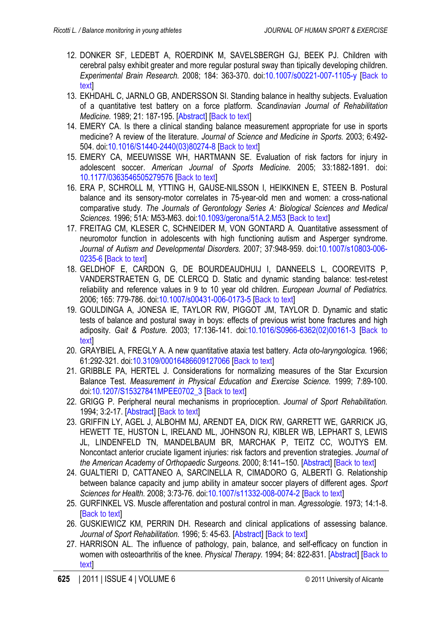- <span id="page-9-0"></span>12. DONKER SF, LEDEBT A, ROERDINK M, SAVELSBERGH GJ, BEEK PJ. Children with cerebral palsy exhibit greater and more regular postural sway than tipically developing children. *Experimental Brain Research.* 2008; 184: 363-370. doi[:10.1007/s00221-007-1105-y](http://dx.doi.org/10.1007/s00221-007-1105-y) [[Back to](#page-5-0) [text\]](#page-5-0)
- 13. EKHDAHL C, JARNLO GB, ANDERSSON SI. Standing balance in healthy subjects. Evaluation of a quantitative test battery on a force platform. *Scandinavian Journal of Rehabilitation Medicine.* 1989; 21: 187-195. [\[Abstract\]](http://www.ncbi.nlm.nih.gov/pubmed/2631193) [\[Back to text\]](#page-3-0)
- 14. EMERY CA. Is there a clinical standing balance measurement appropriate for use in sports medicine? A review of the literature. *Journal of Science and Medicine in Sports.* 2003; 6:492- 504. doi[:10.1016/S1440-2440\(03\)80274-8](http://dx.doi.org/10.1016/S1440-2440%2803%2980274-8) [[Back to text](#page-2-0)]
- 15. EMERY CA, MEEUWISSE WH, HARTMANN SE. Evaluation of risk factors for injury in adolescent soccer. *American Journal of Sports Medicine.* 2005; 33:1882-1891. doi: [10.1177/0363546505279576](http://dx.doi.org/10.1177/0363546505279576) [\[Back to text\]](#page-6-0)
- 16. ERA P, SCHROLL M, YTTING H, GAUSE-NILSSON I, HEIKKINEN E, STEEN B. Postural balance and its sensory-motor correlates in 75-year-old men and women: a cross-national comparative study. *The Journals of Gerontology Series A: Biological Sciences and Medical Sciences.* 1996; 51A: M53-M63. doi[:10.1093/gerona/51A.2.M53](http://dx.doi.org/10.1093/gerona/51A.2.M53) [\[Back to text\]](#page-3-0)
- 17. FREITAG CM, KLESER C, SCHNEIDER M, VON GONTARD A. Quantitative assessment of neuromotor function in adolescents with high functioning autism and Asperger syndrome. *Journal of Autism and Developmental Disorders.* 2007; 37:948-959. doi[:10.1007/s10803-006-](http://dx.doi.org/10.1007/s10803-006-0235-6) [0235-6](http://dx.doi.org/10.1007/s10803-006-0235-6) [\[Back to text\]](#page-6-0)
- 18. GELDHOF E, CARDON G, DE BOURDEAUDHUIJ I, DANNEELS L, COOREVITS P, VANDERSTRAETEN G, DE CLERCQ D. Static and dynamic standing balance: test-retest reliability and reference values in 9 to 10 year old children. *European Journal of Pediatrics.*  2006; 165: 779-786. doi[:10.1007/s00431-006-0173-5](http://dx.doi.org/10.1007/s00431-006-0173-5) [\[Back to text\]](#page-5-0)
- 19. GOULDINGA A, JONESA IE, TAYLOR RW, PIGGOT JM, TAYLOR D. Dynamic and static tests of balance and postural sway in boys: effects of previous wrist bone fractures and high adiposity. *Gait & Posture.* 2003; 17:136-141. [doi:10.1016/S0966-6362\(02\)00161-3](#page-6-0) [Back to text]
- 20. GRAYBIEL A, FREGLY A. A new quantitative ataxia test battery. *Acta oto-laryngologica.* 1966; 61:292-321. doi[:10.3109/00016486609127066](http://dx.doi.org/10.3109/00016486609127066) [[Back to text](#page-3-0)]
- 21. GRIBBLE PA, HERTEL J. Considerations for normalizing measures of the Star Excursion Balance Test. *Measurement in Physical Education and Exercise Science.* 1999; 7:89-100. doi[:10.1207/S15327841MPEE0702\\_3](http://dx.doi.org/10.1207/S15327841MPEE0702_3) [[Back to text](#page-4-0)]
- 22. GRIGG P. Peripheral neural mechanisms in proprioception. *Journal of Sport Rehabilitation.*  1994; 3:2-17. [\[Abstract\]](http://journals.humankinetics.com/jsr-back-issues/jsrvolume3issue1february/peripheralneuralmechanismsinproprioception) [[Back to text](#page-1-0)]
- 23. GRIFFIN LY, AGEL J, ALBOHM MJ, ARENDT EA, DICK RW, GARRETT WE, GARRICK JG, HEWETT TE, HUSTON L, IRELAND ML, JOHNSON RJ, KIBLER WB, LEPHART S, LEWIS JL, LINDENFELD TN, MANDELBAUM BR, MARCHAK P, TEITZ CC, WOJTYS EM. Noncontact anterior cruciate ligament injuries: risk factors and prevention strategies. *Journal of the American Academy of Orthopaedic Surgeons.* 2000; 8:141–150. [\[Abstract\]](http://www.jaaos.org/content/8/3/141.abstract) [[Back to text](#page-1-0)]
- 24. GUALTIERI D, CATTANEO A, SARCINELLA R, CIMADORO G, ALBERTI G. Relationship between balance capacity and jump ability in amateur soccer players of different ages. *Sport Sciences for Health.* 2008; 3:73-76. doi[:10.1007/s11332-008-0074-2](http://dx.doi.org/10.1007/s11332-008-0074-2) [[Back to text](#page-6-0)]
- 25. GURFINKEL VS. Muscle afferentation and postural control in man. *Agressologie.* 1973; 14:1-8. [[Back to text](#page-5-0)]
- 26. GUSKIEWICZ KM, PERRIN DH. Research and clinical applications of assessing balance. Journal of Sport Rehabilitation. 1996; 5: 45-63. [\[Abstract\]](http://libres.uncg.edu/ir/uncg/listing.aspx?id=557) [\[Back to text\]](#page-3-0)
- 27. HARRISON AL. The influence of pathology, pain, balance, and self-efficacy on function in women with osteoarthritis of the knee. *Physical Therapy.* 1994; 84: 822-831. [\[Abstract\]](http://ptjournal.apta.org/content/84/9/822.short) [\[Back to](#page-3-0) [text\]](#page-3-0)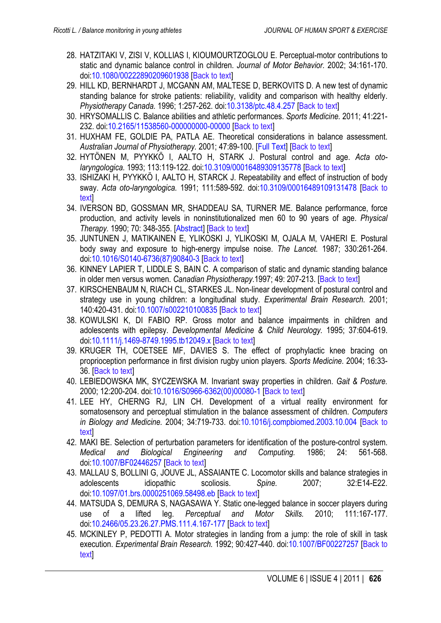- <span id="page-10-0"></span>28. HATZITAKI V, ZISI V, KOLLIAS I, KIOUMOURTZOGLOU E. Perceptual-motor contributions to static and dynamic balance control in children. *Journal of Motor Behavior.* 2002; 34:161-170. doi[:10.1080/00222890209601938](http://dx.doi.org/10.1080/00222890209601938) [[Back to text](#page-5-0)]
- 29. HILL KD, BERNHARDT J, MCGANN AM, MALTESE D, BERKOVITS D. A new test of dynamic standing balance for stroke patients: reliability, validity and comparison with healthy elderly. *Physiotherapy Canada.* 1996; 1:257-262. doi[:10.3138/ptc.48.4.257](http://dx.doi.org/10.3138/ptc.48.4.257) [\[Back to text](#page-3-0)]
- 30. HRYSOMALLIS C. Balance abilities and athletic performances. *Sports Medicine.* 2011; 41:221- 232. doi[:10.2165/11538560-000000000-00000](http://dx.doi.org/10.2165/11538560-000000000-00000) [\[Back to text\]](#page-6-0)
- 31. HUXHAM FE, GOLDIE PA, PATLA AE. Theoretical considerations in balance assessment. *Australian Journal of Physiotherapy.* 2001; 47:89-100. [\[Full Text\]](http://ajp.physiotherapy.asn.au/AJP/vol_47/2/AustJPhysiotherv47i2Huxham.pdf) [\[Back to text\]](#page-3-0)
- 32. HYTÖNEN M, PYYKKÖ I, AALTO H, STARK J. Postural control and age. *Acta otolaryngologica.* 1993; 113:119-122. doi[:10.3109/00016489309135778](http://dx.doi.org/10.3109/00016489309135778) [\[Back to text\]](#page-3-0)
- 33. ISHIZAKI H, PYYKKÖ I, AALTO H, STARCK J. Repeatability and effect of instruction of body sway. *Acta oto-laryngologica.* 1991; 111:589-592. doi[:10.3109/00016489109131478](http://dx.doi.org/10.3109/00016489109131478) [[Back to](#page-3-0) [text\]](#page-3-0)
- 34. IVERSON BD, GOSSMAN MR, SHADDEAU SA, TURNER ME. Balance performance, force production, and activity levels in noninstitutionalized men 60 to 90 years of age. *Physical Therapy.* 1990; 70: 348-355. [\[Abstract\]](http://ptjournal.apta.org/content/70/6/348.short) [[Back to text](#page-3-0)]
- 35. JUNTUNEN J, MATIKAINEN E, YLIKOSKI J, YLIKOSKI M, OJALA M, VAHERI E. Postural body sway and exposure to high-energy impulse noise. *The Lancet.* 1987; 330:261-264. doi[:10.1016/S0140-6736\(87\)90840-3](http://dx.doi.org/10.1016/S0140-6736%2887%2990840-3) [[Back to text](#page-3-0)]
- 36. KINNEY LAPIER T, LIDDLE S, BAIN C. A comparison of static and dynamic standing balance in older men versus women. *Canadian Physiotherapy.*1997; 49: 207-213. [[Back to text](#page-3-0)]
- 37. KIRSCHENBAUM N, RIACH CL, STARKES JL. Non-linear development of postural control and strategy use in young children: a longitudinal study. *Experimental Brain Research.* 2001; 140:420-431. doi[:10.1007/s002210100835](http://dx.doi.org/10.1007/s002210100835) [[Back to text](#page-2-0)]
- 38. KOWULSKI K, DI FABIO RP. Gross motor and balance impairments in children and adolescents with epilepsy. *Developmental Medicine & Child Neurology.* 1995; 37:604-619. doi[:10.1111/j.1469-8749.1995.tb12049.x](http://dx.doi.org/10.1111/j.1469-8749.1995.tb12049.x) [\[Back to text\]](#page-6-0)
- 39. KRUGER TH, COETSEE MF, DAVIES S. The effect of prophylactic knee bracing on proprioception performance in first division rugby union players. *Sports Medicine.* 2004; 16:33- 36. [\[Back to text\]](#page-6-0)
- 40. LEBIEDOWSKA MK, SYCZEWSKA M. Invariant sway properties in children. *Gait & Posture.* 2000; 12:200-204. doi[:10.1016/S0966-6362\(00\)00080-1](http://dx.doi.org/10.1016/S0966-6362%2800%2900080-1) [\[Back to text\]](#page-5-0)
- 41. LEE HY, CHERNG RJ, LIN CH. Development of a virtual reality environment for somatosensory and perceptual stimulation in the balance assessment of children. *Computers in Biology and Medicine.* 2004; 34:719-733. doi[:10.1016/j.compbiomed.2003.10.004](http://dx.doi.org/10.1016/j.compbiomed.2003.10.004) [[Back to](#page-5-0) **text**
- 42. MAKI BE. Selection of perturbation parameters for identification of the posture-control system. *Medical and Biological Engineering and Computing.* 1986; 24: 561-568. doi[:10.1007/BF02446257](http://dx.doi.org/10.1007/BF02446257) [[Back to text](#page-5-0)]
- 43. MALLAU S, BOLLINI G, JOUVE JL, ASSAIANTE C. Locomotor skills and balance strategies in adolescents idiopathic scoliosis. *Spine.* 2007; 32:E14-E22. doi[:10.1097/01.brs.0000251069.58498.eb](http://dx.doi.org/10.1097/01.brs.0000251069.58498.eb) [\[Back to text\]](#page-2-0)
- 44. MATSUDA S, DEMURA S, NAGASAWA Y. Static one-legged balance in soccer players during use of a lifted leg. *Perceptual and Motor Skills.* 2010; 111:167-177. doi[:10.2466/05.23.26.27.PMS.111.4.167-177](http://dx.doi.org/10.2466/05.23.26.27.PMS.111.4.167-177) [[Back to text](#page-6-0)]
- 45. MCKINLEY P, PEDOTTI A. Motor strategies in landing from a jump: the role of skill in task execution. *[Experimental Brain Research.](#page-4-0)* 1992; 90:427-440. doi[:10.1007/BF00227257](http://dx.doi.org/10.1007/BF00227257) [Back to text]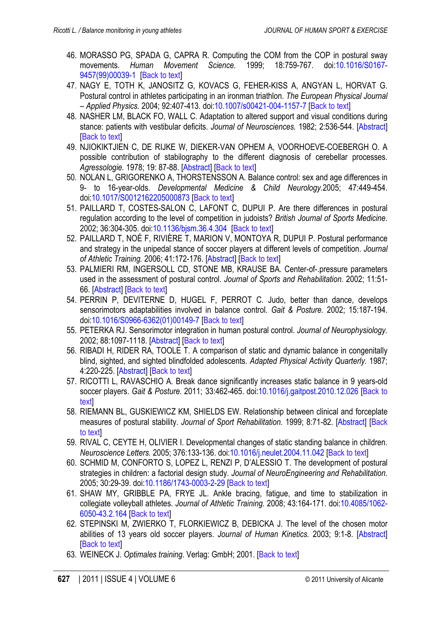- <span id="page-11-0"></span>46. MORASSO PG, SPADA G, CAPRA R. Computing the COM from the COP in postural sway movements. *Human Movement Science.* 1999; 18:759-767. doi[:10.1016/S0167-](http://dx.doi.org/10.1016/S0167-9457%2899%2900039-1) [9457\(99\)00039-1](http://dx.doi.org/10.1016/S0167-9457%2899%2900039-1) [\[Back to text](#page-3-0)]
- 47. NAGY E, TOTH K, JANOSITZ G, KOVACS G, FEHER-KISS A, ANGYAN L, HORVAT G. Postural control in athletes participating in an ironman triathlon. *The European Physical Journal – Applied Physics.* 2004; 92:407-413. doi[:10.1007/s00421-004-1157-7](http://dx.doi.org/10.1007/s00421-004-1157-7) [\[Back to text\]](#page-5-0)
- 48. NASHER LM, BLACK FO, WALL C. Adaptation to altered support and visual conditions during stance: patients with vestibular deficits. *Journal of Neurosciences.* 1982; 2:536-544. [\[Abstract\]](http://www.jneurosci.org/content/2/5/536) **I[Back to text](#page-1-0)l**
- 49. NJIOKIKTJIEN C, DE RIJKE W, DIEKER-VAN OPHEM A, VOORHOEVE-COEBERGH O. A possible contribution of stabilography to the different diagnosis of cerebellar processes. *Agressologie.* 1978; 19: 87-88. [\[Abstract\]](http://www.ncbi.nlm.nih.gov/pubmed/727373) [[Back to text](#page-5-0)]
- 50. NOLAN L, GRIGORENKO A, THORSTENSSON A. Balance control: sex and age differences in 9- to 16-year-olds. *Developmental Medicine & Child Neurology.*2005; 47:449-454. doi[:10.1017/S0012162205000873](http://dx.doi.org/10.1017/S0012162205000873) [[Back to text](#page-5-0)]
- 51. PAILLARD T, COSTES-SALON C, LAFONT C, DUPUI P. Are there differences in postural regulation according to the level of competition in judoists? *British Journal of Sports Medicine.*  2002; 36:304-305. doi[:10.1136/bjsm.36.4.304](http://dx.doi.org/10.1136/bjsm.36.4.304) [\[Back to text](#page-6-0)]
- 52. PAILLARD T, NOÉ F, RIVIÈRE T, MARION V, MONTOYA R, DUPUI P. Postural performance and strategy in the unipedal stance of soccer players at different levels of competition. *Journal of Athletic Training.* 2006; 41:172-176. [\[Abstract\]](http://www.ncbi.nlm.nih.gov/pubmed/16791302) [[Back to text](#page-6-0)]
- 53. PALMIERI RM, INGERSOLL CD, STONE MB, KRAUSE BA. Center-of-.pressure parameters used in the assessment of postural control. *Journal of Sports and Rehabilitation.* 2002; 11:51- 66. [\[Abstract\]](http://journals.humankinetics.com/jsr-back-issues/jsrvolume11issue1february/centerofpressureparametersusedintheassessmentofposturalcontrol) [\[Back to text\]](#page-1-0)
- 54. PERRIN P, DEVITERNE D, HUGEL F, PERROT C. Judo, better than dance, develops sensorimotors adaptabilities involved in balance control. *Gait & Posture.* 2002; 15:187-194. doi[:10.1016/S0966-6362\(01\)00149-7](http://dx.doi.org/10.1016/S0966-6362%2801%2900149-7) [[Back to text](#page-6-0)]
- 55. PETERKA RJ. Sensorimotor integration in human postural control. *Journal of Neurophysiology.* 2002; 88:1097-1118. [\[Abstract\]](http://jn.physiology.org/content/88/3/1097.short) [[Back to text](#page-5-0)]
- 56. RIBADI H, RIDER RA, TOOLE T. A comparison of static and dynamic balance in congenitally blind, sighted, and sighted blindfolded adolescents. *Adapted Physical Activity Quarterly.* 1987; 4:220-225. [\[Abstract\]](http://journals.humankinetics.com/apaq-back-issues/apaqvolume4issue3july/acomparisonofstaticanddynamicbalanceincongenitallyblindsightedandsightedblindfoldedadolescents) [[Back to text](#page-2-0)]
- 57. RICOTTI L, RAVASCHIO A. Break dance significantly increases static balance in 9 years-old soccer players. *Gait & Posture.* 2011; 33:462-465. doi[:10.1016/j.gaitpost.2010.12.026](http://dx.doi.org/10.1016/j.gaitpost.2010.12.026) [\[Back to](#page-6-0) [text\]](#page-6-0)
- 58. RIEMANN BL, GUSKIEWICZ KM, SHIELDS EW. Relationship between clinical and forceplate measures of postural stability. *[Journal of Sport Rehabilitation.](#page-3-0)* 1999; 8:71-82. [\[Abstract\]](http://journals.humankinetics.com/jsr-back-issues/jsrvolume8issue2may/relationshipbetweenclinicalandforceplatemeasuresofposturalstability) [Back to text]
- 59. RIVAL C, CEYTE H, OLIVIER I. Developmental changes of static standing balance in children. *Neuroscience Letters.* 2005; 376:133-136. doi[:10.1016/j.neulet.2004.11.042](http://dx.doi.org/10.1016/j.neulet.2004.11.042) [\[Back to text\]](#page-2-0)
- 60. SCHMID M, CONFORTO S, LOPEZ L, RENZI P, D'ALESSIO T. The development of postural strategies in children: a factorial design study. *Journal of NeuroEngineering and Rehabilitation.* 2005; 30:29-39. doi[:10.1186/1743-0003-2-29](http://dx.doi.org/10.1186/1743-0003-2-29) [\[Back to text\]](#page-5-0)
- 61. SHAW MY, GRIBBLE PA, FRYE JL. Ankle bracing, fatigue, and time to stabilization in collegiate volleyball athletes. *Journal of Athletic Training.* 2008; 43:164-171. doi[:10.4085/1062-](http://dx.doi.org/10.4085/1062-6050-43.2.164) [6050-43.2.164](http://dx.doi.org/10.4085/1062-6050-43.2.164) [[Back to text](#page-6-0)]
- 62. STEPINSKI M, ZWIERKO T, FLORKIEWICZ B, DEBICKA J. The level of the chosen motor abilities of 13 years old soccer players. *Journal of Human Kinetics.* 2003; 9:1-8. [\[Abstract\]](http://www.johk.awf.katowice.pl/pdfy/nr9/09stepinski.pdf) **[[Back to text](#page-6-0)]**
- 63. WEINECK J. *Optimales training*. Verlag: GmbH; 2001. [[Back to text](#page-1-0)]